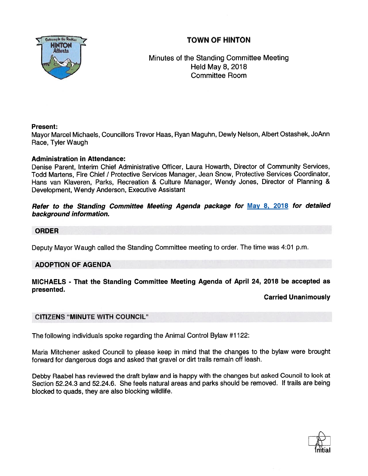TOWN OF HINTON



Minutes of the Standing Committee Meeting Held May 8, 2018 Committee Room

# Present:

Mayor Marcel Michaels, Councillors Trevor Haas, Ryan Maguhn, Dewly Nelson, Albert Ostashek, JoAnn Race, Tyler Waugh

# Administration in Attendance:

Denise Parent, Interim Chief Administrative Officer, Laura Howarth, Director of Community Services, Todd Martens, Fire Chief / Protective Services Manager, Jean Snow, Protective Services Coordinator, Hans van Klaveren, Parks, Recreation & Culture Manager, Wendy Jones, Director of Planning & Development, Wendy Anderson, Executive Assistant

# Refer to the Standing Committee Meeting Agenda package for May 8, 2018 for detailed background information.

#### ORDER

Deputy Mayor Waugh called the Standing Committee meeting to order. The time was 4:01 p.m.

# ADOPTION OF AGENDA

# MICHAELS - That the Standing Committee Meeting Agenda of April 24, 2018 be accepted as presented.

# Carried Unanimously

# CITIZENS "MINUTE WITH COUNCIL"

The following individuals spoke regarding the Animal Control Bylaw #1122:

Maria Mitchener asked Council to <sup>p</sup>lease keep in mind that the changes to the bylaw were brought forward for dangerous dogs and asked that grave<sup>l</sup> or dirt trails remain off leash.

Debby Raabel has reviewed the draft bylaw and is happy with the changes but asked Council to look at Section 52.24.3 and 52.24.6. She feels natural areas and parks should be removed. If trails are being blocked to quads, they are also blocking wildlife.

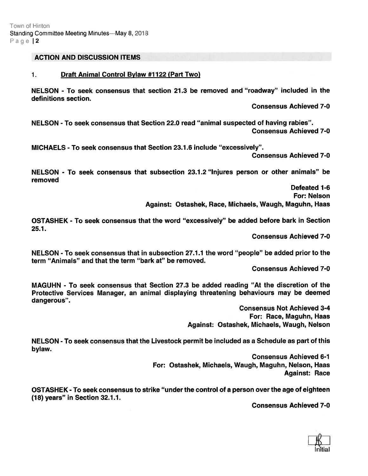#### ACTION AND DISCUSSION ITEMS

#### 1. Draft Animal Control Bylaw #1122 (Part Two)

NELSON - To seek consensus that section 21.3 be removed and "roadway" included in the definitions section.

Consensus Achieved 7-0

NELSON - To seek consensus that Section 22.0 read "animal suspected of having rabies". Consensus Achieved 7-0

MICHAELS - To seek consensus that Section 23.1.6 include "excessively".

Consensus Achieved 7-0

NELSON - To seek consensus that subsection 23.1.2 "Injures person or other animals" be removed

> Defeated 1-6 For: Nelson Against: Ostashek, Race, Michaels, Waugh, Maguhn, Haas

OSTASHEK - To seek consensus that the word "excessively" be added before bark in Section 25.1.

Consensus Achieved 7-0

NELSON - To seek consensus that in subsection 27.1.1 the word "people" be added prior to the term "Animals" and that the term "bark at" be removed.

Consensus Achieved 7-0

MAGUHN - To seek consensus that Section 27.3 be added reading "At the discretion of the Protective Services Manager, an animal displaying threatening behaviours may be deemed dangerous".

> Consensus Not Achieved 3-4 For: Race, Maguhn, Haas Against: Ostashek, Michaels, Waugh, Nelson

NELSON - To seek consensus that the Livestock permit be included as <sup>a</sup> Schedule as par<sup>t</sup> of this bylaw.

> Consensus Achieved 6-1 For: Ostashek, Michaels, Waugh, Maguhn, Nelson, Haas Against: Race

OSTASHEK - To seek consensus to strike "under the control of <sup>a</sup> person over the age of eighteen (18) years" in Section 32.1.1.

Consensus Achieved 7-0

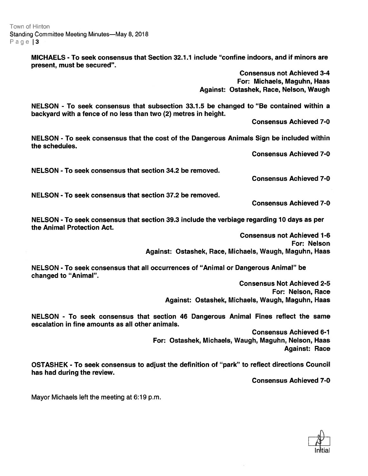Town of Hinton Standing Committee Meeting Minutes—May 8, 2018 Page  $|3$ 

> MICHAELS -To seek consensus that Section 321.1 include "confine indoors, and if minors are present, must be secured".

> > Consensus not Achieved 3-4 For: Michaels, Maguhn, Haas Against: Ostashek, Race, Nelson, Waugh

NELSON - To seek consensus that subsection 33.1.5 be changed to "Be contained within <sup>a</sup> backyard with <sup>a</sup> fence of no less than two (2) metres in height.

Consensus Achieved 7-0

NELSON - To seek consensus that the cost of the Dangerous Animals Sign be included within the schedules.

Consensus Achieved 7-0

NELSON - To seek consensus that section 34.2 be removed.

Consensus Achieved 7-0

NELSON - To seek consensus that section 37.2 be removed.

Consensus Achieved 7-0

NELSON -To seek consensus that section 39.3 include the verbiage regarding 10 days as per the Animal Protection Act.

> Consensus not Achieved 1-6 For: Nelson Against: Ostashek, Race, Michaels, Waugh, Maguhn, Haas

NELSON - To seek consensus that all occurrences of "Animal or Dangerous Animal" be changed to "Animal".

> Consensus Not Achieved 2-5 For: Nelson, Race Against: Ostashek, Michaels, Waugh, Maguhn, Haas

NELSON - To seek consensus that section 46 Dangerous Animal Fines reflect the same escalation in fine amounts as all other animals.

> Consensus Achieved 6-1 For: Ostashek, Michaels, Waugh, Maguhn, Nelson, Haas Against: Race

OSTASHEK - To seek consensus to adjust the definition of "park" to reflect directions Council has had during the review.

Consensus Achieved 7-0

Mayor Michaels left the meeting at 6:19 p.m.

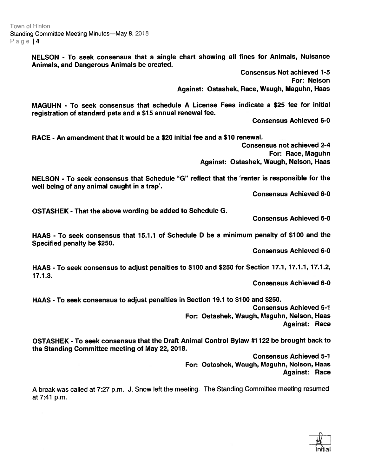Town of Hinton Standing Committee Meeting Minutes—May 8, 2018 Page | 4

> NELSON - To seek consensus that <sup>a</sup> single chart showing all fines for Animals, Nuisance Animals, and Dangerous Animals be created.

> > Consensus Not achieved 7-5 For: Nelson Against: Ostashek, Race, Waugh, Maguhn, Haas

MAGUHN - To seek consensus that schedule A License Fees indicate <sup>a</sup> \$25 fee for initial registration of standard pets and <sup>a</sup> \$15 annual renewal fee.

Consensus Achieved 6-0

RACE - An amendment that it would be <sup>a</sup> \$20 initial fee and <sup>a</sup> \$70 renewal.

Consensus not achieved 2-4 For: Race, Maguhn Against: Ostashek, Waugh, Nelson, Haas

NELSON - To seek consensus that Schedule "G" reflect that the 'renter is responsible for the well being of any animal caught in <sup>a</sup> trap'.

Consensus Achieved 6-0

OSTASHEK - That the above wording be added to Schedule G.

Consensus Achieved 6-0

HAAS - To seek consensus that 15.1.1 of Schedule D be <sup>a</sup> minimum penalty of \$100 and the Specified penalty be \$250.

Consensus Achieved 6-0

HAAS - To seek consensus to adjust penalties to \$700 and \$250 for Section 17.1, 17.7.7, 17.1.2, 77.1.3.

Consensus Achieved 6-0

HAAS - To seek consensus to adjust penalties in Section 19.1 to \$100 and \$250.

Consensus Achieved 5-1 For: Ostashek, Waugh, Maguhn, Nelson, Haas Against: Race

OSTASHEK - To seek consensus that the Draft Animal Control Bylaw #1122 be brought back to the Standing Committee meeting of May 22, 2018.

> Consensus Achieved 5-1 For: Ostashek, Waugh, Maguhn, Nelson, Haas Against: Race

A break was called at 7:27 p.m. J. Snow left the meeting. The Standing Committee meeting resumed at 7:41 p.m.

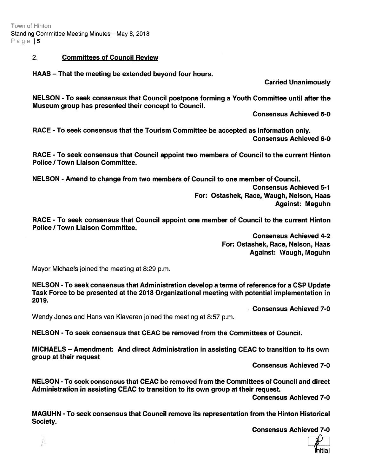Town of Hinton Standing Committee Meeting Minutes-May 8, 2018 Page | 5

### 2. Committees of Council Review

HAAS — That the meeting be extended beyond four hours.

Carried Unanimously

NELSON - To seek consensus that Council postpone forming <sup>a</sup> Youth Committee until after the Museum group has presented their concep<sup>t</sup> to Council.

Consensus Achieved 6-0

RACE - To seek consensus that the Tourism Committee be accepted as information only. Consensus Achieved 6-0

RACE - To seek consensus that Council appoint two members of Council to the current Hinton Police / Town Liaison Committee.

NELSON - Amend to change from two members of Council to one member of Council.

Consensus Achieved 5-1 For: Ostashek, Race, Waugh, Nelson, Haas Against: Maguhn

RACE - To seek consensus that Council appoint one member of Council to the current Hinton Police / Town Liaison Committee.

> Consensus Achieved 4-2 For: Ostashek, Race, Nelson, Haas Against: Waugh, Maguhn

Mayor Michaels joined the meeting at 8:29 p.m.

NELSON - To seek consensus that Administration develop <sup>a</sup> terms of reference for <sup>a</sup> CSP Update Task Force to be presented at the 2018 Organizational meeting with potential implementation in 2019.

Consensus Achieved 7-0

Wendy Jones and Hans van Kiaveren joined the meeting at 8:57 p.m.

NELSON - To seek consensus that CEAC be removed from the Committees of Council.

MICHAELS — Amendment: And direct Administration in assisting CEAC to transition to its own group at their reques<sup>t</sup>

Consensus Achieved 7-0

NELSON - To seek consensus that CEAC be removed from the Committees of Council and direct Administration in assisting CEAC to transition to its own group at their request.

Consensus Achieved 7-0

MAGUHN - To seek consensus that Council remove its representation from the Hinton Historical Society.

Consensus Achieved 7-0

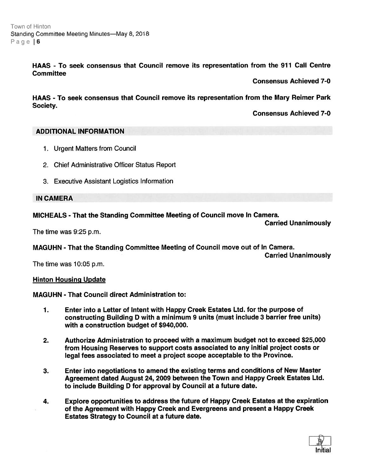HAAS - To seek consensus that Council remove its representation from the 911 Call Centre **Committee** 

Consensus Achieved 7-0

HAAS - To seek consensus that Council remove its representation from the Mary Reimer Park Society.

Consensus Achieved 7-0

# ADDITIONAL INFORMATION

- 1. Urgent Matters from Council
- 2. Chief Administrative Officer Status Report
- 3. Executive Assistant Logistics Information

# IN CAMERA

# MICHEALS - That the Standing Committee Meeting of Council move In Camera.

Carried Unanimously

The time was 9:25 p.m.

MAGUHN - That the Standing Committee Meeting of Council move out of In Camera.

Carried Unanimously

The time was 10:05 p.m.

# Hinton Housing Update

# MAGUHN -That Council direct Administration to:

- 1. Enter into <sup>a</sup> Letter of Intent with Happy Creek Estates Ltd. for the purpose of constructing Building <sup>D</sup> with <sup>a</sup> minimum 9 units (must include 3 barrier free units) with <sup>a</sup> construction budget of \$940,000.
- 2. Authorize Administration to proceed with <sup>a</sup> maximum budget not to exceed \$25,000 from Housing Reserves to suppor<sup>t</sup> costs associated to any initial project costs or legal fees associated to meet <sup>a</sup> project scope acceptable to the Province.
- 3. Enter into negotiations to amend the existing terms and conditions of New Master Agreement dated August 24, 2009 between the Town and Happy Creek Estates Ltd. to include Building D for approval by Council at <sup>a</sup> future date.
- 4. Explore opportunities to address the future of Happy Creek Estates at the expiration of the Agreement with Happy Creek and Evergreens and presen<sup>t</sup> <sup>a</sup> Happy Creek Estates Strategy to Council at <sup>a</sup> future date.